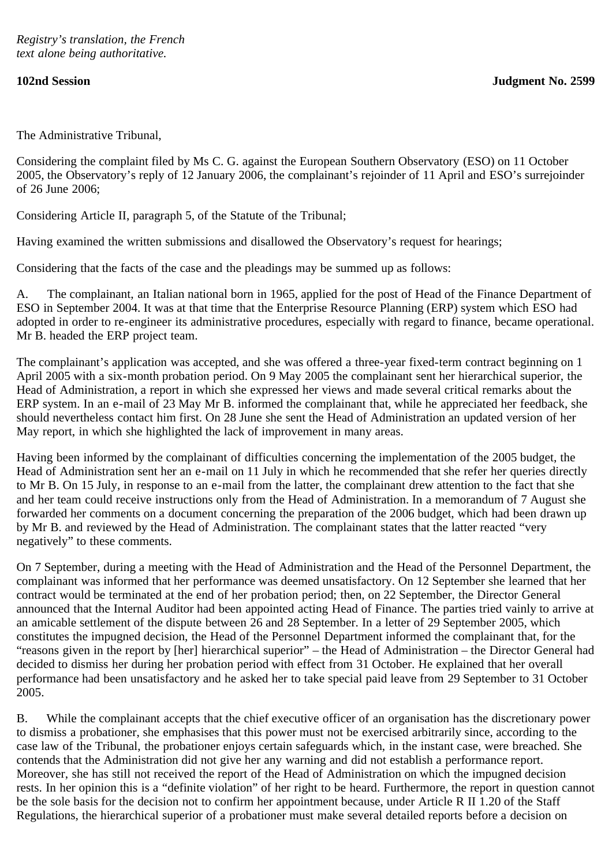The Administrative Tribunal,

Considering the complaint filed by Ms C. G. against the European Southern Observatory (ESO) on 11 October 2005, the Observatory's reply of 12 January 2006, the complainant's rejoinder of 11 April and ESO's surrejoinder of 26 June 2006;

Considering Article II, paragraph 5, of the Statute of the Tribunal;

Having examined the written submissions and disallowed the Observatory's request for hearings;

Considering that the facts of the case and the pleadings may be summed up as follows:

A. The complainant, an Italian national born in 1965, applied for the post of Head of the Finance Department of ESO in September 2004. It was at that time that the Enterprise Resource Planning (ERP) system which ESO had adopted in order to re-engineer its administrative procedures, especially with regard to finance, became operational. Mr B. headed the ERP project team.

The complainant's application was accepted, and she was offered a three-year fixed-term contract beginning on 1 April 2005 with a six-month probation period. On 9 May 2005 the complainant sent her hierarchical superior, the Head of Administration, a report in which she expressed her views and made several critical remarks about the ERP system. In an e-mail of 23 May Mr B. informed the complainant that, while he appreciated her feedback, she should nevertheless contact him first. On 28 June she sent the Head of Administration an updated version of her May report, in which she highlighted the lack of improvement in many areas.

Having been informed by the complainant of difficulties concerning the implementation of the 2005 budget, the Head of Administration sent her an e-mail on 11 July in which he recommended that she refer her queries directly to Mr B. On 15 July, in response to an e-mail from the latter, the complainant drew attention to the fact that she and her team could receive instructions only from the Head of Administration. In a memorandum of 7 August she forwarded her comments on a document concerning the preparation of the 2006 budget, which had been drawn up by Mr B. and reviewed by the Head of Administration. The complainant states that the latter reacted "very negatively" to these comments.

On 7 September, during a meeting with the Head of Administration and the Head of the Personnel Department, the complainant was informed that her performance was deemed unsatisfactory. On 12 September she learned that her contract would be terminated at the end of her probation period; then, on 22 September, the Director General announced that the Internal Auditor had been appointed acting Head of Finance. The parties tried vainly to arrive at an amicable settlement of the dispute between 26 and 28 September. In a letter of 29 September 2005, which constitutes the impugned decision, the Head of the Personnel Department informed the complainant that, for the "reasons given in the report by [her] hierarchical superior" – the Head of Administration – the Director General had decided to dismiss her during her probation period with effect from 31 October. He explained that her overall performance had been unsatisfactory and he asked her to take special paid leave from 29 September to 31 October 2005.

B. While the complainant accepts that the chief executive officer of an organisation has the discretionary power to dismiss a probationer, she emphasises that this power must not be exercised arbitrarily since, according to the case law of the Tribunal, the probationer enjoys certain safeguards which, in the instant case, were breached. She contends that the Administration did not give her any warning and did not establish a performance report. Moreover, she has still not received the report of the Head of Administration on which the impugned decision rests. In her opinion this is a "definite violation" of her right to be heard. Furthermore, the report in question cannot be the sole basis for the decision not to confirm her appointment because, under Article R II 1.20 of the Staff Regulations, the hierarchical superior of a probationer must make several detailed reports before a decision on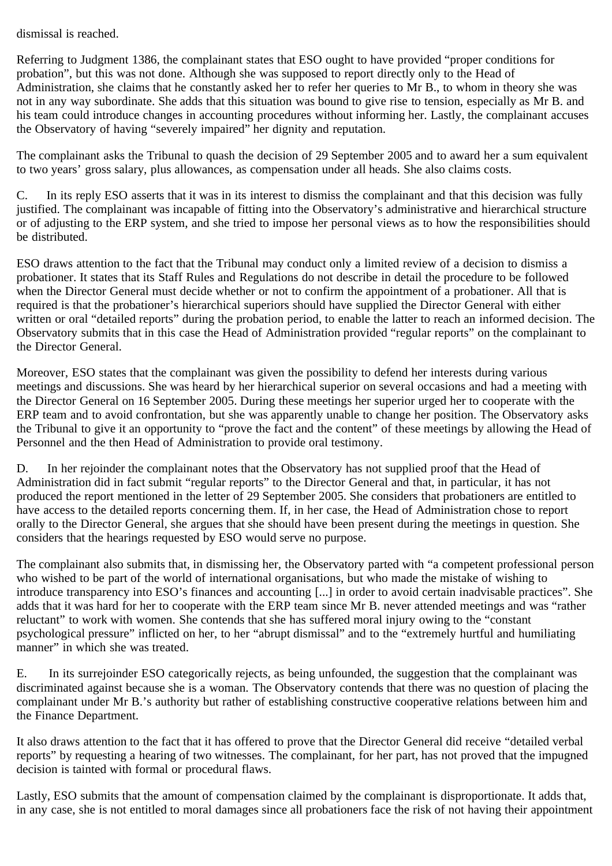dismissal is reached.

Referring to Judgment 1386, the complainant states that ESO ought to have provided "proper conditions for probation", but this was not done. Although she was supposed to report directly only to the Head of Administration, she claims that he constantly asked her to refer her queries to Mr B., to whom in theory she was not in any way subordinate. She adds that this situation was bound to give rise to tension, especially as Mr B. and his team could introduce changes in accounting procedures without informing her. Lastly, the complainant accuses the Observatory of having "severely impaired" her dignity and reputation.

The complainant asks the Tribunal to quash the decision of 29 September 2005 and to award her a sum equivalent to two years' gross salary, plus allowances, as compensation under all heads. She also claims costs.

C. In its reply ESO asserts that it was in its interest to dismiss the complainant and that this decision was fully justified. The complainant was incapable of fitting into the Observatory's administrative and hierarchical structure or of adjusting to the ERP system, and she tried to impose her personal views as to how the responsibilities should be distributed.

ESO draws attention to the fact that the Tribunal may conduct only a limited review of a decision to dismiss a probationer. It states that its Staff Rules and Regulations do not describe in detail the procedure to be followed when the Director General must decide whether or not to confirm the appointment of a probationer. All that is required is that the probationer's hierarchical superiors should have supplied the Director General with either written or oral "detailed reports" during the probation period, to enable the latter to reach an informed decision. The Observatory submits that in this case the Head of Administration provided "regular reports" on the complainant to the Director General.

Moreover, ESO states that the complainant was given the possibility to defend her interests during various meetings and discussions. She was heard by her hierarchical superior on several occasions and had a meeting with the Director General on 16 September 2005. During these meetings her superior urged her to cooperate with the ERP team and to avoid confrontation, but she was apparently unable to change her position. The Observatory asks the Tribunal to give it an opportunity to "prove the fact and the content" of these meetings by allowing the Head of Personnel and the then Head of Administration to provide oral testimony.

D. In her rejoinder the complainant notes that the Observatory has not supplied proof that the Head of Administration did in fact submit "regular reports" to the Director General and that, in particular, it has not produced the report mentioned in the letter of 29 September 2005. She considers that probationers are entitled to have access to the detailed reports concerning them. If, in her case, the Head of Administration chose to report orally to the Director General, she argues that she should have been present during the meetings in question. She considers that the hearings requested by ESO would serve no purpose.

The complainant also submits that, in dismissing her, the Observatory parted with "a competent professional person who wished to be part of the world of international organisations, but who made the mistake of wishing to introduce transparency into ESO's finances and accounting [...] in order to avoid certain inadvisable practices". She adds that it was hard for her to cooperate with the ERP team since Mr B. never attended meetings and was "rather reluctant" to work with women. She contends that she has suffered moral injury owing to the "constant psychological pressure" inflicted on her, to her "abrupt dismissal" and to the "extremely hurtful and humiliating manner" in which she was treated.

E. In its surrejoinder ESO categorically rejects, as being unfounded, the suggestion that the complainant was discriminated against because she is a woman. The Observatory contends that there was no question of placing the complainant under Mr B.'s authority but rather of establishing constructive cooperative relations between him and the Finance Department.

It also draws attention to the fact that it has offered to prove that the Director General did receive "detailed verbal reports" by requesting a hearing of two witnesses. The complainant, for her part, has not proved that the impugned decision is tainted with formal or procedural flaws.

Lastly, ESO submits that the amount of compensation claimed by the complainant is disproportionate. It adds that, in any case, she is not entitled to moral damages since all probationers face the risk of not having their appointment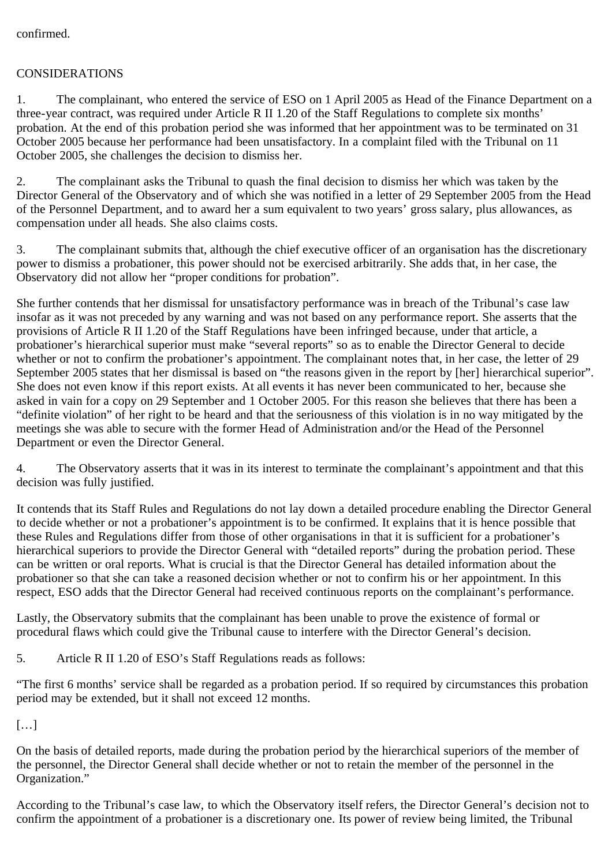confirmed.

## CONSIDERATIONS

1. The complainant, who entered the service of ESO on 1 April 2005 as Head of the Finance Department on a three-year contract, was required under Article R II 1.20 of the Staff Regulations to complete six months' probation. At the end of this probation period she was informed that her appointment was to be terminated on 31 October 2005 because her performance had been unsatisfactory. In a complaint filed with the Tribunal on 11 October 2005, she challenges the decision to dismiss her.

2. The complainant asks the Tribunal to quash the final decision to dismiss her which was taken by the Director General of the Observatory and of which she was notified in a letter of 29 September 2005 from the Head of the Personnel Department, and to award her a sum equivalent to two years' gross salary, plus allowances, as compensation under all heads. She also claims costs.

3. The complainant submits that, although the chief executive officer of an organisation has the discretionary power to dismiss a probationer, this power should not be exercised arbitrarily. She adds that, in her case, the Observatory did not allow her "proper conditions for probation".

She further contends that her dismissal for unsatisfactory performance was in breach of the Tribunal's case law insofar as it was not preceded by any warning and was not based on any performance report. She asserts that the provisions of Article R II 1.20 of the Staff Regulations have been infringed because, under that article, a probationer's hierarchical superior must make "several reports" so as to enable the Director General to decide whether or not to confirm the probationer's appointment. The complainant notes that, in her case, the letter of 29 September 2005 states that her dismissal is based on "the reasons given in the report by [her] hierarchical superior". She does not even know if this report exists. At all events it has never been communicated to her, because she asked in vain for a copy on 29 September and 1 October 2005. For this reason she believes that there has been a "definite violation" of her right to be heard and that the seriousness of this violation is in no way mitigated by the meetings she was able to secure with the former Head of Administration and/or the Head of the Personnel Department or even the Director General.

4. The Observatory asserts that it was in its interest to terminate the complainant's appointment and that this decision was fully justified.

It contends that its Staff Rules and Regulations do not lay down a detailed procedure enabling the Director General to decide whether or not a probationer's appointment is to be confirmed. It explains that it is hence possible that these Rules and Regulations differ from those of other organisations in that it is sufficient for a probationer's hierarchical superiors to provide the Director General with "detailed reports" during the probation period. These can be written or oral reports. What is crucial is that the Director General has detailed information about the probationer so that she can take a reasoned decision whether or not to confirm his or her appointment. In this respect, ESO adds that the Director General had received continuous reports on the complainant's performance.

Lastly, the Observatory submits that the complainant has been unable to prove the existence of formal or procedural flaws which could give the Tribunal cause to interfere with the Director General's decision.

5. Article R II 1.20 of ESO's Staff Regulations reads as follows:

"The first 6 months' service shall be regarded as a probation period. If so required by circumstances this probation period may be extended, but it shall not exceed 12 months.

[…]

On the basis of detailed reports, made during the probation period by the hierarchical superiors of the member of the personnel, the Director General shall decide whether or not to retain the member of the personnel in the Organization."

According to the Tribunal's case law, to which the Observatory itself refers, the Director General's decision not to confirm the appointment of a probationer is a discretionary one. Its power of review being limited, the Tribunal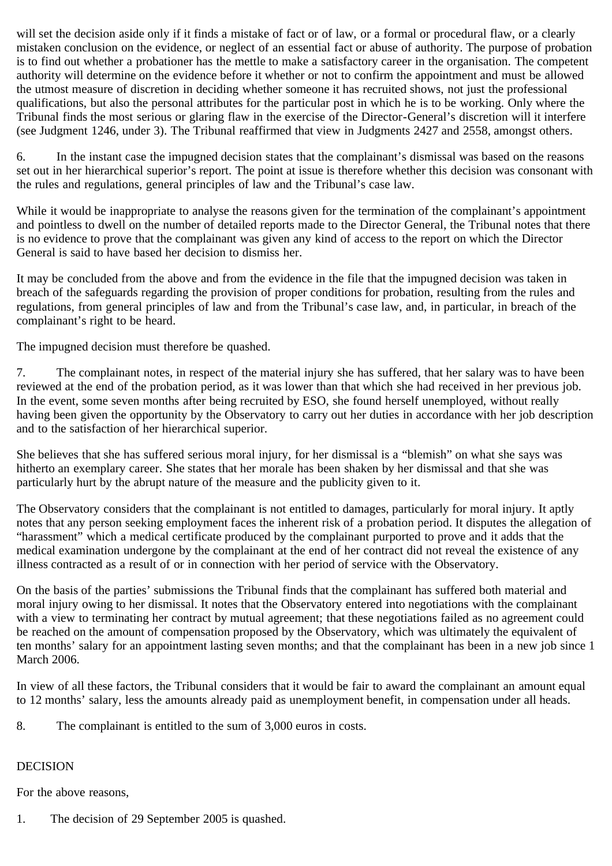will set the decision aside only if it finds a mistake of fact or of law, or a formal or procedural flaw, or a clearly mistaken conclusion on the evidence, or neglect of an essential fact or abuse of authority. The purpose of probation is to find out whether a probationer has the mettle to make a satisfactory career in the organisation. The competent authority will determine on the evidence before it whether or not to confirm the appointment and must be allowed the utmost measure of discretion in deciding whether someone it has recruited shows, not just the professional qualifications, but also the personal attributes for the particular post in which he is to be working. Only where the Tribunal finds the most serious or glaring flaw in the exercise of the Director-General's discretion will it interfere (see Judgment 1246, under 3). The Tribunal reaffirmed that view in Judgments 2427 and 2558, amongst others.

6. In the instant case the impugned decision states that the complainant's dismissal was based on the reasons set out in her hierarchical superior's report. The point at issue is therefore whether this decision was consonant with the rules and regulations, general principles of law and the Tribunal's case law.

While it would be inappropriate to analyse the reasons given for the termination of the complainant's appointment and pointless to dwell on the number of detailed reports made to the Director General, the Tribunal notes that there is no evidence to prove that the complainant was given any kind of access to the report on which the Director General is said to have based her decision to dismiss her.

It may be concluded from the above and from the evidence in the file that the impugned decision was taken in breach of the safeguards regarding the provision of proper conditions for probation, resulting from the rules and regulations, from general principles of law and from the Tribunal's case law, and, in particular, in breach of the complainant's right to be heard.

The impugned decision must therefore be quashed.

7. The complainant notes, in respect of the material injury she has suffered, that her salary was to have been reviewed at the end of the probation period, as it was lower than that which she had received in her previous job. In the event, some seven months after being recruited by ESO, she found herself unemployed, without really having been given the opportunity by the Observatory to carry out her duties in accordance with her job description and to the satisfaction of her hierarchical superior.

She believes that she has suffered serious moral injury, for her dismissal is a "blemish" on what she says was hitherto an exemplary career. She states that her morale has been shaken by her dismissal and that she was particularly hurt by the abrupt nature of the measure and the publicity given to it.

The Observatory considers that the complainant is not entitled to damages, particularly for moral injury. It aptly notes that any person seeking employment faces the inherent risk of a probation period. It disputes the allegation of "harassment" which a medical certificate produced by the complainant purported to prove and it adds that the medical examination undergone by the complainant at the end of her contract did not reveal the existence of any illness contracted as a result of or in connection with her period of service with the Observatory.

On the basis of the parties' submissions the Tribunal finds that the complainant has suffered both material and moral injury owing to her dismissal. It notes that the Observatory entered into negotiations with the complainant with a view to terminating her contract by mutual agreement; that these negotiations failed as no agreement could be reached on the amount of compensation proposed by the Observatory, which was ultimately the equivalent of ten months' salary for an appointment lasting seven months; and that the complainant has been in a new job since 1 March 2006.

In view of all these factors, the Tribunal considers that it would be fair to award the complainant an amount equal to 12 months' salary, less the amounts already paid as unemployment benefit, in compensation under all heads.

8. The complainant is entitled to the sum of 3,000 euros in costs.

## DECISION

For the above reasons,

1. The decision of 29 September 2005 is quashed.